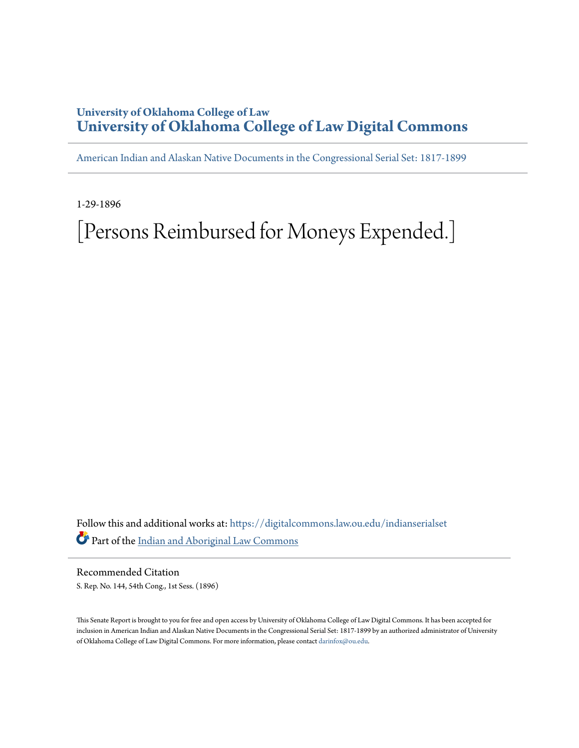# **University of Oklahoma College of Law [University of Oklahoma College of Law Digital Commons](https://digitalcommons.law.ou.edu?utm_source=digitalcommons.law.ou.edu%2Findianserialset%2F6069&utm_medium=PDF&utm_campaign=PDFCoverPages)**

[American Indian and Alaskan Native Documents in the Congressional Serial Set: 1817-1899](https://digitalcommons.law.ou.edu/indianserialset?utm_source=digitalcommons.law.ou.edu%2Findianserialset%2F6069&utm_medium=PDF&utm_campaign=PDFCoverPages)

1-29-1896

# [Persons Reimbursed for Moneys Expended.]

Follow this and additional works at: [https://digitalcommons.law.ou.edu/indianserialset](https://digitalcommons.law.ou.edu/indianserialset?utm_source=digitalcommons.law.ou.edu%2Findianserialset%2F6069&utm_medium=PDF&utm_campaign=PDFCoverPages) Part of the [Indian and Aboriginal Law Commons](http://network.bepress.com/hgg/discipline/894?utm_source=digitalcommons.law.ou.edu%2Findianserialset%2F6069&utm_medium=PDF&utm_campaign=PDFCoverPages)

Recommended Citation S. Rep. No. 144, 54th Cong., 1st Sess. (1896)

This Senate Report is brought to you for free and open access by University of Oklahoma College of Law Digital Commons. It has been accepted for inclusion in American Indian and Alaskan Native Documents in the Congressional Serial Set: 1817-1899 by an authorized administrator of University of Oklahoma College of Law Digital Commons. For more information, please contact [darinfox@ou.edu](mailto:darinfox@ou.edu).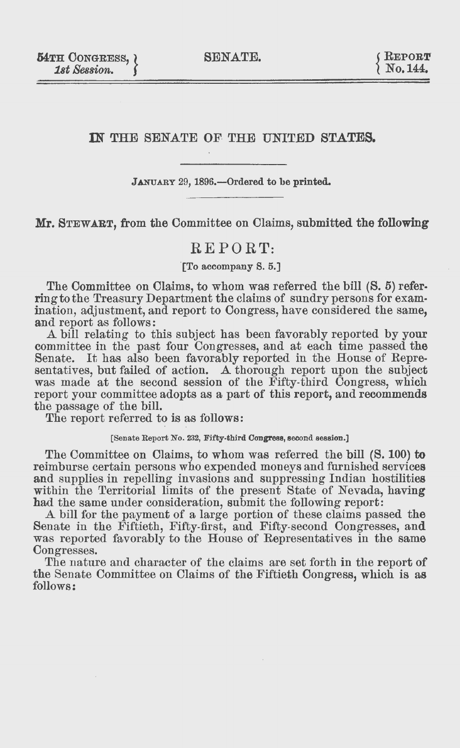SENATE.

### IN THE SENATE OF THE UNITED STATES.

#### **JANUARY** 29, 1896.-0rdered to **be printed.**

**Mr. STEWART, from the Committee on Claims, submitted the following** 

## REPORT:

**"[To** accompany S. 5.]

The Committee on Olaims, to whom was referred the bill (S. 5) referringtothe Treasury Department the claims of sundry persons for examination, adjustment, and report to Congress, have considered the same, and report as follows:

A bill relating to this subject has been favorably reported by your committee in the past four Congresses, and at each time passed the Senate. It has also been favorably reported in the House of Representatives, but failed of action. A thorough report upon the subject was made at the second session of the Fifty-third Congress, which report your committee adopts as a part of this report, and recommends the passage of the bill.

The report referred to is as follows:

[Senate Report No. 232, Fifty-third **Congress,** second session.]

The Committee on Olaims, to whom was referred the bill (S. 100) to reimburse certain persons who expended moneys and furnished services and supplies in repelling invasions and suppressing Indian hostilities within the Territorial limits of the present State of Nevada, having had the same under consideration, submit the following report:

A bill for the payment of a large portion of these claims passed the Senate in the Fiftieth, Fifty-first, and Fifty-second Congresses, and was reported favorably to the House of Representatives in the same Oongresses.

The nature and character of the claims are set forth in the report of the Senate Committee on Olaims of the Fiftieth Oongress, which is as follows: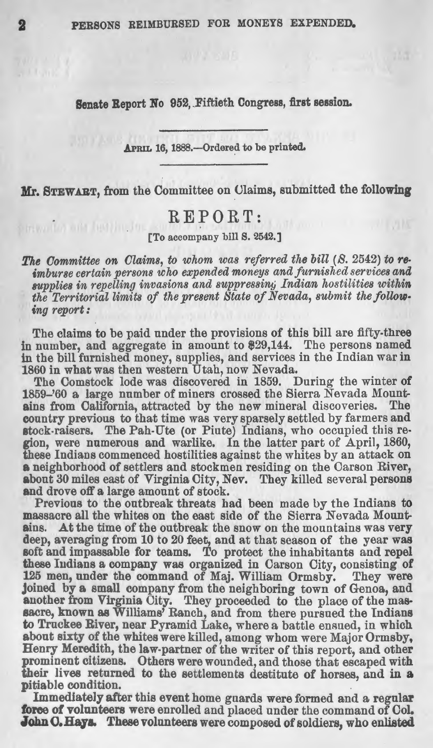Senate Report No 952, Fiftieth Congress, first session.

APRIL 16, 1888.-Ordered to be printed.

**Mr.** STEWART, from the Committee on Claims, submitted the following

# REPORT:

For accompany bill S. 2542.]

*The Oommittee on Claims, to whom was referred the bill (8.* 2542) *to re- imburse certain persons who expended moneys and furnished services and*  supplies in repelling invasions and suppressing Indian hostilities within the Territorial limits of the present State of Nevada, submit the follow*ing report:* 

The claims to be paid under the provisions of this bill are fifty-three in number, and aggregate in amount to \$29,144. The persons named in tbe bill furnished money, supplies, and services in the Indian war in 1860 in what was then western Utah, now Nevada.

The Comstock lode was discovered in 1859. During the winter of 1859-'60 a large number of miners crossed the Sierra Nevada Mount**ains** from California, attracted by the new mineral discoveries. The country previous to that time was very sparsely settled by farmers and stock-raisers. The Pah-Ute (or Piute) Indians, who occupied this region, were numerous and warlike. In the latter part of April, 1860, these Indians commenced hostilities against the whites by an attack on a neighborhood of settlers and stockmen residing on the Carson River, about 30 miles east of Virginia City, Nev. They killed several persons and drove off a large amount of stock.

Previous to the outbreak threats had been made by the Indians to massacre all the whites on the east side of the Sierra Nevada Mount**ains.** At the time of the outbreak the snow on the mountains was very deep, averaging from 10 to 20 feet, and at that season of the year was soft and impassable for teams. To protect the inhabitants and repel these Indians a company was organized in Carson City, consisting of 125 men, under the command of Maj. William Ormsby. They were Joined by a small company from the neighboring town of Genoa, and another from Virginia City. They proceeded to the place of the massacre, known as Williams' Ranch, and from there pursued the Indians to Truckee River, near Pyramid Lake, where a battle ensued, in which about sixty of the whites were killed, among whom were Major Ormsby, Henry Meredith, the law-partner of the writer of this report, and other prominent citizens. Others were wounded, and those that escaped with their lives returned to the settlements destitute of horses. and in **a**  pitiable condition.

Immediate]y after this event home guards were formed and a regular force of volunteers were enrolled and placed under the command of Col. John C. Hays. These volunteers were composed of soldiers, who enlisted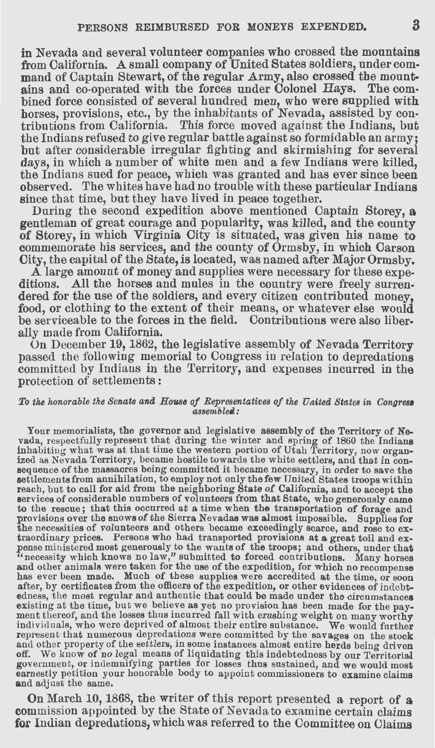in Nevada and several volunteer companies who crossed the mountains from California. A small company of United States soldiers, under command of Captain Stewart, of the regular Army, also crossed the mountains and co-operated with the forces under Colonel Hays. The combined force consisted of several hundred men, who were supplied with horses, provisions, etc., by the inhabitants of Nevada, assisted by contributions from California. This force moved against the Indians, but the Indians refused to give regular battle against so formidable an army; but after considerable irregular fighting and skirmishing for several days, in which a number of white men and a few Indians were killed, the Indians sued for peace, which was granted and has ever since been observed. The whites have had no trouble with these particular Indians since that time, but they have lived in peace together.

During the second expedition above mentioned Captain Storey, **a**  gentleman of great courage and popularity, was killed, and the county of Storey, in which Virginia City is situated, was given his name to commemorate his services, and the county of Ormsby, in which Carson City, the capital of the State, is located, was named after Major Ormsby.

A large amount of money and supplies were necessary for these expeditions. All the horses and mules in the country were freely surrendered for the use of the soldiers, and every citizen contributed money. food, or clothing to the extent of their means, or whatever else would be serviceable to the forces in the field. Contributions were also liber-<br>ally made from California.

On December 19, 1862, the legislative assembly of Nevada Territory passed the following memorial to Congress in relation to depredations committed by Indians in the Territory, and expenses incurred in the protection of settlements :

#### *To the honorable the Senate and House of Representatives of the Uaited States in Congrea,*   $as sembleed:$

Your memorialists, the governor and legislative assembly of the Territory of Nevada, respectfully represent that during the winter and spring of 1860 the Indians inhabiting what was at that time the western portion of Utah Territory, now organized as Nevada Territory, became hostile towards the white settlers, and that in consequence of the massacres being committed it became necessary, in order to save the settlements from annihilation, to employ not only the to the rescue; that this occurred at a time when the transportation of forage and provisions over the snows of the Sierra Nevadas was almost impossible. Supplies for the necessities of volunteers and others became exceedin the necessities of volunteers and others became exceedingly scarce, and rose to ex-<br>traordinary prices. Persons who had transported provisions at a great toil and ex-<br>pense ministered most generously to the wants of the tr has ever been made. Much of these supplies were accredited at the time, or soon after, by certificates from the officers of the expedition, or other evidences of indebtedness, the most regular and authentic that could be made under the circumstances existing at the time, but we believe as yet no provision has been made for the payment thereof, and the losses thus incurred fall with crushing weight on many worthy individuals, who were deprived of almost their entire su represent that numerous depredations were committed by the savages on the stock and other property of the settlers, in some instances almost entire herds being driven off. We know of no legal means of liquidating this indebtedness by our Territorial government, or indemnifying parties for losses thus sustained, and we would most earnestly petition your honorable body to appoint commissioners to examine claims **and** adjust the same.

On March 10, 1868, the writer of this report presented a, report of **a**  commission appointed by the State of Nevada to examine certain claims for Indian depredations, which was referred to the Committee on Claims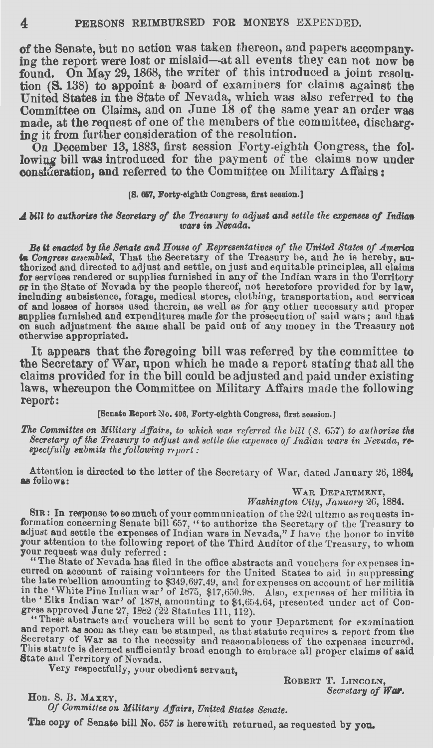**of** the Senate, but no action was taken thereon, and papers accompanying the report were lost or mislaid-at all events they can not now be found. On May 29, 1868, the writer of this introduced a joint resolution (S. 138) to appoint a board of examiners for claims against the United **States** in the State of Nevada, which was also referred to the Committee on Claims, and on June 18 of the same year an order was made, at the request of one of the members of the committee, discharging it from further consideration of the resolution.

On December 13, 1883, first session Forty-eighth Congress, the following bill was introduced for the payment of the claims now under consideration, and referred to the Committee on Military Affairs:

#### **(8. 657, Forty-eighth** Congress, **first** session.]

#### *A bill to authorize the Secretary of the Treasury to adjust and settle the expenses of Indian vars in Nevada.*

**Be it enacted by the Senate and House of Representatives of the United States of America in Congress assembled, That the Secretary of the Treasury be, and he is hereby, au**thorized and directed to adjust and settle, on just and equitable principles, all claims for services rendered or supplies furnished in any of the Indian wars in the Territory or in the State of Nevada by the people thereof, not heretofore provided for by law, including subsistence, forage, medical stores, clothing, transportation, and services of horses used therein, as well as for any other necessary and proper supplies furnished and expenditures made for the prosecution of said wars; and that on such adjustment the same shall be paid out of any money in the Treasury not otherwise appropriated.

It appears that the foregoing bill was referred by the committee to the Secretary of War, upon which he made a report stating that all the claims provided for in the bill could be adjusted and paid under existing laws, whereupon the Oommittee on Military Affairs made the following report:

[Senate Report No. 406, Forty-eighth Congress, first session.]

*The Committee on Military Affairs, to which was referred the bill (S. 657) to authorize the Secretary of the Treasury to adjust and settle the expenses of Indian wars in Nevada, re- spectfully submits the following report :* 

Attention is directed to the letter of the Secretary of War, dated January 26, 1884, **as** follows:

WAR DEPARTMENT,

*Washington City, January 26, 1884.* 

SIR: In response to so much of your communication of the 22d ultimo as requests information concerning Senate bill 657, "to authorize the Secretary of the Treasury to adjust and settle the expenses of Indian wars in Nevad your request was duly referred:

"The State of Nevada has filed in the office abstracts and vouchers for expenses incurred on account of raising volunteers for the United States to aid in suppressing the late rebellion amounting to \$349,697.49, and for expenses on account of her militia in the 'White Pine Indian war' of 1875, \$17,650.98. Also, expenses of her militia in the 'Elks Indian war' of 1878, amounting to \$4,654.64, presented under act of Constanting to \$4,654.64, presented under act of Constanting to \$4,654.64, presented under act of Constanting the set of the sent to your Depart

Secretary of War as to the necessity and reasonableness of the expenses incurred. This statute is deemed sufficiently broad enough to embrace all proper claims of said State and Territory of Nevada.

Very respectfully, your obedient servant,

ROBERT T. LINCOLN, *Secretary of War,* Hon. S. B. MAXEY,

*Of Committee on Military Affairs, United States Senate.* The copy of Senate bill No. 657 is herewith returned, as requested by you.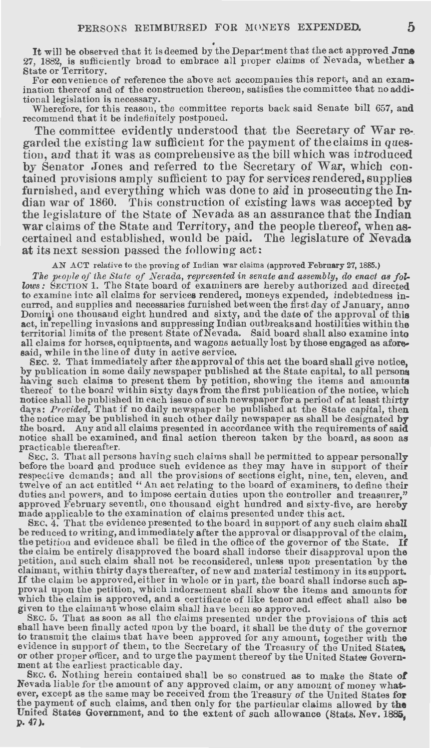It will be observed that it is deemed by the Department that the act approved **June** 27, 1882, is sufficiently broad to embrace all proper claims of Nevada, whether **a** 

State or Territory.<br>For convenience of reference the above act accompanies this report, and an examination thereof and of the construction thereon, satisfies the committee that no additional legislation is necessary.

Wherefore, for this reason, the committee reports back said Senate bill 657, **and**  recommend that it be indefinitely postponed.

The committee evidently understood that the Secretary of War re-<br>garded the existing law sufficient for the payment of the claims in question, and that it was as comprehensive as the bill which was introduced by Senator Jones and referred to the Secretary of War, which contained provisions amply sufficient to pay for services rendered, supplies furnished, and everything which was done to aid in prosecuting the Indian war of 1860. This construction of existing laws was accepted **by**  the legislature of the State of Nevada as an assurance that the Indian war claims of the State and Territory, and the people thereof, when ascertained and established, would be paid. The legislature of Nevada at its next session passed the following act:

#### .AN ACT relative to the proving of Indian war claims (approved February 27, 1885.)

The people of the State of Nerada, represented in senate and assembly, do enact as fol*lows:* SECTION 1. The State board of examiners are hereby authorized and directed to examine into all claims for services rendered, moneys expended, indebtedness incurred, and supplies and necessaries furnished between the first day of January, anno Domini one thousand eight hundred and sixty, and the date of the approval of this act, in repelling invasions and suppressing Indian outbreaks and hostilities within the territorial limits of the present State of Nevada. Said board shall also examine into all claims for horses, equipments, and wagons actually lost by those engaged as **afore**said, while in the line of duty in active service.

SEC. 2. That immediately after the approval of this act the board shall give notice, by publication in some daily newspaper published at the State capital, to all persona having such claims to present them by petition, showing the items and amounts thereof to the board within sixty days from the first publication of the notice, which notice shall be published in each issue of such newspaper for a period of at least thirty days: *Provided*, That if no daily newspaper be published at the State capital, then the notice may be published in such other daily practicable thereafter.<br>SEC. 3. That all persons having such claims shall be permitted to appear personally

before the board and produce such evidence as they may have in support of their respective demands; and all the provisions of sections eight, nine, ten, eleven, and<br>twelve of an act entitled "An act relating to the board of examiners, to define their<br>duties and powers, and to impose certain duties upo approved February seventh, one thousand eight hundred and sixty-five, are hereby made applicable to the examination of claims presented under this act.

SEC. 4. That the evidence presented to the board in support of any such claim shall<br>be reduced to writing, and immediately after the approval or disapproval of the claim, the petition and evidence shall be filed in the office of the governor of the State. **If**  the claim be entirely disapproved the board shall indorse their disapproval upon the petition, and such claim shall not be reconsidered, unless upon presentation by the claimant, within thirty days thereafter, of new and material testimony in its support. If the claim be approved, either in whole or in part, the board shall indorse such approval upon the petition, which indorsement shall show the items and amounts for which the claim is approved, and a certificate of like tenor and effect shall also be given to the claimant whose claim shall have been so approved.<br>SEC. 5. That as soon as all the claims presented under the provisions of this act

shall have been finally acted upon by the board, it shall be the duty of the governor<br>to transmit the claims that have been approved for any amount, together with the<br>evidence in support of them, to the Secretary of the Tr ment at the earliest practicable day.

SEc. 6. Nothing herein contained shall be so construed as to make the State **of**  Nevada liable for the amount of any approved claim, or any amount of money whatever, except as the same may be received from the Treasury of the United States for the payment of such claims, and then only for the particular claims allowed by the United States Government, and to the extent of such allowance (Stats. Nev. 1885, p. 47).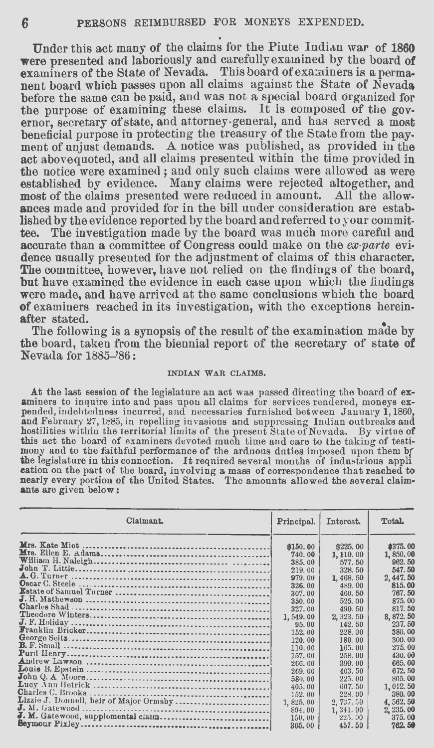Under this act many of the claims for the Piute Indian war of 1860 **were** presented and laboriously and carefullyexamined by the board of examiners of the State of Nevada. This board of examiners is a permanent board which passes upon all claims against the State of Nevada before the same can be paid, and was not a special board organized for the purpose of examining these claims. It is composed of the governor, secretary of'state, and attorney-general, and has served a most beneficial purpose in protecting the treasury of the State from the payment of unjust demands. A notice was published, as provided in the act abovequoted, and all claims presented within the time provided in the notice were examined; and only such claims were allowed as were established by evidence. Many claims were rejected altogether, and most of the claims presented were reduced in amount. All the allowances made and provided for in the bill under consideration are established by the evidence reported by the board and referred to your committee. The investigation made by the board was much more careful and accurate than a committee of Congress could make on the *ex-parte* evidence usually presented for the adjustment of claims of this character. The committee, however, have not relied on the findings of the board, but have examined the evidence in each case upon which the findings were made, and have arrived at the same conclusions which the board of examiners reached in its investigation, with the exceptions herein-<br>after stated. after stated.

The following is a synopsis of the result of the examination made by the board, taken from the biennial report of the secretary of' state **of Nevada for 1885-'86:** 

#### **INDIAN WAR CLAIMS,**

At the last session of the legislature an act was passed directing the board of ex-<br>aminers to inquire into and pass upon all claims for services rendered, moneys ex-<br>pended, indebtedness incurred, and necessaries furnishe **and** Febrnary *Z7,* 1885, in repelling invasions and suppressing Indian outbreaks and hostilities within the territorial limits of the present State of Nevada. By virtue **of**  this act the board of examiners devoted much time and care to the taking of testimony and to the faithful performance of the arduous duties imposed upon them by the legislature in this connection. It required several months of industrious appl eation on the part of the board, involving a mass of correspondence that reached to nearly every portion of the United States. The amounts allowed the several claim**ants** are given below:

| Claimant.                               | Principal. | Interest. | Total.     |
|-----------------------------------------|------------|-----------|------------|
|                                         | \$150.00   | \$225.00  | \$375.00   |
|                                         | 740.00     | 1, 110.00 | 1,850.00   |
|                                         | 385.00     | 577.50    | 962.50     |
|                                         | 219.00     | 328.50    | 547.50     |
|                                         | 979.00     | 1,468.50  | 2, 447, 50 |
|                                         | 326.00     | 489.00    | 815.00     |
|                                         | 307.00     | 460.50    | 767.50     |
|                                         | 350.00     | 525.00    | 875.00     |
|                                         | 327.00     | 490.50    | 817.50     |
|                                         | 1,549,00   | 2, 323.50 | 3, 872, 50 |
|                                         | 95.00      | 142.50    | 237.50     |
|                                         | 152.00     | 228.00    | 380.00     |
|                                         | 120.00     | 180.00    | 300, 00    |
|                                         | 110.00     | 165.00    | 275.00     |
|                                         | 157.00     | 258.00    | 430.00     |
|                                         | 266.00     | 399.00    | 665.00     |
|                                         | 269.00     | 403.50    | 672.50     |
|                                         | 580.00     | 225.00    | 805.00     |
|                                         | 405.00     | 607.50    | 1,012.50   |
|                                         | 152.00     | 228.00    | 380.00     |
| Lizzie J. Donnell, heir of Major Ormsby | 1, 825, 00 | 2,737.50  | 4, 562, 50 |
| $J. M.$ Gatewood $\ldots$               | 894.00     | 1,341.00  | 2, 235, 00 |
| J. M. Gatewood, supplemental claim      | 150.00     | 225.00    | 375.00     |
|                                         | 305,00     | 457.50    | 762.50     |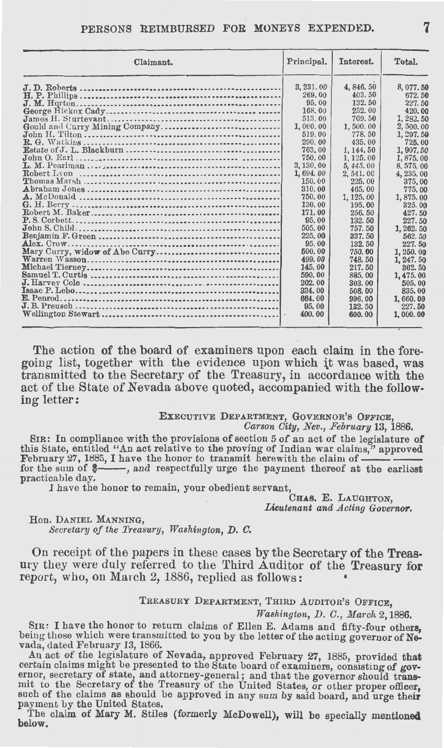#### PERSONS **REIMBURSED FOR MONEYS EXPENDED.**

| Claimant.                                      | Principal.                                                                                                                                                                                                                                             | Interest.                                                                                                                                                                                                                                                       | Total.                                                                                                                                                                                                                                                                           |
|------------------------------------------------|--------------------------------------------------------------------------------------------------------------------------------------------------------------------------------------------------------------------------------------------------------|-----------------------------------------------------------------------------------------------------------------------------------------------------------------------------------------------------------------------------------------------------------------|----------------------------------------------------------------------------------------------------------------------------------------------------------------------------------------------------------------------------------------------------------------------------------|
| Gould and Curry Mining Company.<br>Robert Lyon | 3, 231, 00<br>269.00<br>95.00<br>168.00<br>513.00<br>1,000,00<br>519.00<br>290.00<br>763.00<br>750.00<br>3, 130, 00<br>1,694.00<br>150.00<br>310.00<br>750.00<br>130, 00<br>171.00<br>95.00<br>505.00<br>225.00<br>95.00<br>500.00<br>499.00<br>145.00 | 4,846.50<br>403.50<br>132.50<br>252.00<br>769.50<br>1,500.00<br>778.50<br>435.00<br>1, 144, 50<br>1, 125, 00<br>5,445.00<br>2,541.00<br>225.00<br>465.00<br>1, 125.00<br>195.00<br>256.50<br>132.50<br>757.50<br>337.50<br>132.50<br>750.00<br>748.50<br>217.50 | 8,077.50<br>672.50<br>227.50<br>420.00<br>1, 282, 50<br>2,500.00<br>1, 297.50<br>725.00<br>1.907.50<br>1,875.00<br>8, 575, 00<br>4, 235.00<br>375.00<br>775.00<br>1,875,00<br>325.00<br>427.50<br>227.50<br>1, 262, 50<br>562.50<br>227.50<br>1, 250, 00<br>1, 247, 50<br>362.50 |
| E. Penrod.                                     | 590.00<br>202.00<br>334.00<br>664.00                                                                                                                                                                                                                   | 885.00<br>303.00<br>508.00<br>996.00                                                                                                                                                                                                                            | 1,475,00<br>505.00<br>835.00<br>1,660.00                                                                                                                                                                                                                                         |
|                                                | 95,00                                                                                                                                                                                                                                                  | 132.50                                                                                                                                                                                                                                                          | 227.50                                                                                                                                                                                                                                                                           |
|                                                | 400.00                                                                                                                                                                                                                                                 | 600.00                                                                                                                                                                                                                                                          | 1,000.00                                                                                                                                                                                                                                                                         |

The action of the board of examiners upon each claim in the foregoing list, together with the evidence upon which it was based, was transmitted to the Secretary of the Treasury, in accordance with the act of the State of Nevada above quoted, accompanied with the following letter:

#### **EXECUTIVE DEPARTMENT, GOVERNOR'S OFFICE,**

*Carson City, Nev., February* 13, 1886.

SIR: In compliance with the provisions of section 5 of an act of the legislature **of**  this State, entitled "An act relative to the proving of Indian war claims," approved<br>February 27, 1885, I have the honor to transmit herewith the claim of  $\frac{1}{\sqrt{2}}$ <br>for the sum of  $\frac{2}{\sqrt{2}}$ , and respectfully urge the practicable day.

I have the honor to remain, your obedient servant,

**CHAS. E.** LAUGHTON, Lieutenant and Acting Governor.

#### Hon. DANIEL MANNING,

*Secretary of the Treasury, Washington, D. C.* 

On receipt of the papers in these cases by the Secretary of the Treasury they were duly referred to the Third Auditor of the Treasury for report, who, on March 2, 1886, replied as follows:

#### TREASURY DEPARTMENT, THIRD AUDITOR'S OFFICE,

*Washington, D. C., March* 2, 1886.

SIR: I have the honor to return claims of Ellen E. Adams and fifty-four others, being those which were transmitted to you by the letter of the acting governor of **Ne**vada, dated February 13, 1866.

An act of the legislature of Nevada, approved February 27, 1885, provided that certain claims might be presented to the State board of examiners, consisting of governor, secretary of state, and attorney-general; and that the governor should transmit to the Secretary of the Treasury of the United States, or other proper officer, such of the claims as should be approved in any sum by said board, and urge their payment by the United States.

The claim of Mary M. Stiles (formerly McDowell), will be specially mentioned below.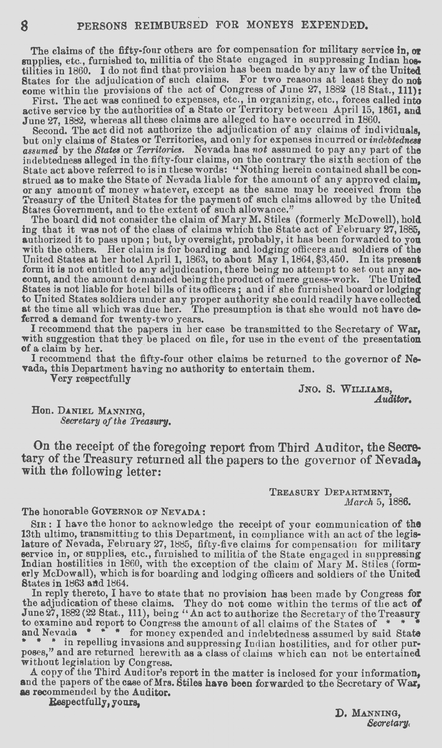The claims of the fifty-four others are for compensation for military service in, or supplies, etc., furnished to, militia of the State engaged in suppressing Indian hostilities in 1860. I do not find that provision has been made by any law of the United States for the adjudication of such claims. For two reasons at least they do not come within the provisions of the act of Congress of June 27, 1882 (18 Stat., 111):

First. The act was confined to expenses, etc., in organizing, etc., forces called into active service by the authorities of a State or Territory between April 15, 1861, and June 27, 1882, whereas all these claims are alleged to have occurred in 1860.

Second. The act did not authorize the adjudication of any claims of individuals, but only claims of States or Territories, and only for expenses incurred or indebtedness assumed by the States or Territories. Nevada has not indebtedness alleged in the fifty-four claims, on the contrary the sixth section of the State act above referred to is in these words: "Nothing herein contained shall be con-State act above referred to is in these words: "Nothing herein contained shall be construed as to make the State of Nevada liable for the amount of any approved claim,<br>or any amount of money whatever, except as the same ma States Government, and to the extent of such allowance."

The board did not consider the claim of Mary M. Stiles (formerly McDowell), hold ing that it was not of the class of claims which the State act of February 27, 1885, authorized it to pass upon ; but, by oversight, probably, it has been forwarded to you with the others. Her claim is for boarding and lodging officers and soldiers of the United States at her hotel April 1, 1863, to about May 1, 1864, \$3,450. In its present form it is not entitled to any adjudication, there being no attempt to set out any ac- count, and the amount demanded being the product of mere guess-work. 'fhe United States is not liable for hotel bills of its officers; and if she furnished board or lodging to United States soldiers under any proper authority she could readily have collected at the time all which was due her. The presumption is that she would not have **de**ferred a demand for twenty-two years.

I recommend that the papers in her case be transmitted to the Secretary of War, with suggestion that they be placed on file, for use in the event of the presentation of a claim by her.<br>I recommend that the fifty-four other claims be returned to the governor of Ne-

vada, this Department having no authority to entertain them. Very respectfully

JNO. S. WILLIAMS,<br>*Auditor*.

Hon. DANIEL MANNING, *Secretary of the Treasury.* 

On the receipt of the foregoing report from Third Auditor, the Secretary of the Treasury returned all the papers to the governor of Nevada, with the following letter:

> TREASURY DEPARTMENT, *March* 5, 1886.

#### The honorable GOVERNOR OF NEVADA:

SIR: I have the honor to acknowledge the receipt of your communication of the 13th ultimo, transmitting to this Department, in compliance with an act of the legislature of Nevada, February 27, 1885, fifty-five claims for compensation for military service in, or supplies, etc., furnished to militia of the State engaged in suppressing<br>Indian hostilities in 1860, with the exception of the claim of Mary M. Stiles (form-<br>erly McDowall), which is for boarding and lodging States in 1863 artd 1864.

In reply thereto, I have to state that no provision has been made by Congress for<br>the adjudication of these claims. They do not come within the terms of the act of<br>June 27, 1882 (22 Stat., 111), being "An act to authorize

**Poses,"** and are returned herewith as a class of claims which can not be entertained without legislation by Congress.

A copy of the Third Auditor's report in the matter is inclosed for your information, **and** <sup>t</sup> he papers of the case of Mrs. Stiles **have** been forwarded to the Secretary of War, **as** recommended by the Auditor.

Respectfully, yours,

**D,** MANNING, *Secretary,*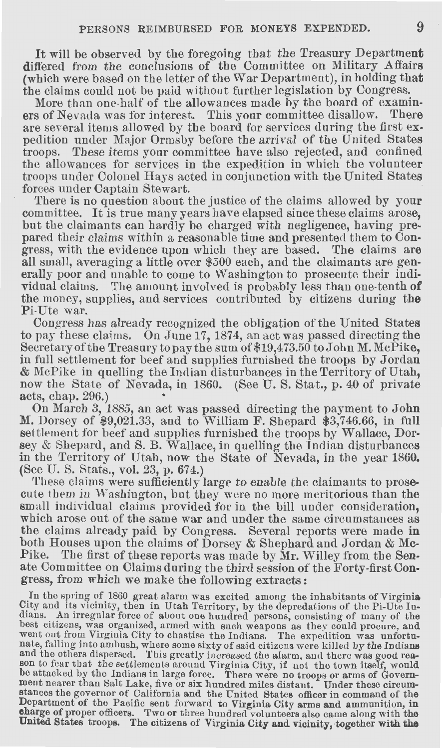It will be observed by the foregoing that the Treasury Department differed from the conclusions of the Committee on Military Affairs (which were based on the letter of the War Department), in holding that the claims could not be paid without further legislation by Congress.

More than one-half of the allowances made by the board of examiners of Nevada was for interest. This your committee disallow. There are several items allowed by the board for services during the first expedition under Major Ormsby before the arrival of the United States troops. These items your committee have also rejected, and confined the allowances for services in the expedition in which the volunteer troops under Colonel Hays acted in conjunction with the United States forces under Captain Stewart.

There is no question about the justice of the claims allowed by your committee. It is true many years have elapsed since these claims arose, but the claimants can hardly be charged with negligence, having prepared their claims within a reasonable time and presented them to Congress, with the evidence upon which they are based. The claims are all small, averaging a little over \$500 each, and the claimants are generally poor and unable to come to Washington to prosecute their individual claims. The amount involved is probably less than one-tenth **of**  the money, supplies, and services contributed by citizens during **the**  Pi-Ute war.

Congress has already recognized the obligation of the United States to pay these claims. On June 17, 1874, an act was passed directing the Secretary of the Treasury to pay the sum of \$19,473.50 to John M. McPike, in full settlement for beef and supplies furnished the troops by Jordan & McPike in quelling the Indian disturbances in the Territory of Utah, now the State of Nevada, in 1860. (See U.S. Stat., p. 40 of private acts, chap. 296.)

On March 3, 1885, an act was passed directing the payment to John M. Dorsey of \$9,021.33, and to William F. Shepard \$3,746.66, in full settlement for beef and supplies furnished the troops by Wallace, Dorsey & Shepard, and S. B. Wallace, in quelling the Indian disturbances in the Territory of Utah, now the State of Nevada, in the year 1860. (See U. S. Stats., vol. 23, p. 674.)

These claims were sufficiently large to enable the claimants to prosecute them in Washington, but they were no more meritorious than the small individual claims provided for in the bill under consideration, which arose out of the same war and under the same circumstances as the claims already paid by Congress. Several reports were made in both Houses upon the claims of Dorsey & Shephard and Jordan & Mc-Pike. The first of these reports was made by Mr. Willey from the Senate Committee on Claims during the third session of the Forty-first Congress, from which we make the following extracts:

In the spring of 1860 great alarm was excited among the inhabitants of Virginia City and its vicinity, then in Utah Territory, by the depredations of the Pi-Ute Indians. An irregular force of about one hundred persons, consisting of many of the best citizens, was organized, armed with such weapons as they could procure, and went out from Virginia City to chastise the Indians. The expedition was unfortu-<br>nate, falling into ambush, where some sixty of said citizens were killed by the Indians and the others dispersed. This greatly increased the alarm, and there was good reason to fear that the settlements around Virginia City, if not the town itself, would be attacked by the Indians in large force. There were n stances the governor of California and the United States officer in command of the Department of the Pacific sent forward to Virginia City arms and ammunition, in charge of proper officers. Two or three hundred volunteers also came along with the United States troops. The citizens of Virginia City and vicinity, together with the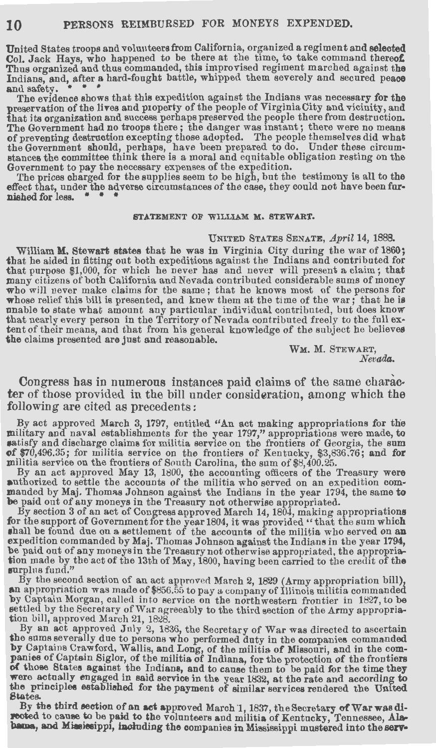United States troops and voluuteersfrom California, organized a regiment and **selected**  Col. Jack Hays, who happened to be there at the time, to take command thereot: Thus organized and thus commanded, this improvised regiment marched against **the**  Indians, and, after a hard-fought battle, whipped them severely and secured peace and safety.

The evidence shows that this expedition against the Indians was necessary for the preservation of the lives and p1operty of the people of Virginia City and vicinity, and that its organization and success perhaps preserved the people there from destruction. The Government had no troops there ; the danger was instant ; there were no means of preventing destrnction excepting those adopted. The people themselves did what the Government should, perhaps, have been prepared to do. Under these circumstances the committee think there is a moral and equitable obligation resting on the Government to pay the necessary expenses of the expedition.

'fhe prices charged for the supplies seem to be high, but the testimony is all to the effect that, under the adverse circumstances of the case, they could not have been furnished for less.

#### **STATEMENT OF WILLIAM M. STEWART.**

#### UNITED STATES SENATE, April 14, 1888.

William **M.** Stewart **states** that he was in Virginia City during the war of 1860; that he aided in fitting out both expeditions against the Indians and contributed for that purpose \$1,000, for which he never has and never will present a claim; that many citizens of both California and Nevada contributed considerable sums of money who will never make claims for the same; that he knows most of the persons for whose relief this bill is presented, and knew them at the time of the war; that he is unable to state what amount any particular individual contributed, but does know that nearly every person in the Territory of Nevada contributed freely to the full ex- tent of their means, and that from his general knowledge of the subject he believes **the** claims presented are just and reasonable.

**WM. M.** STEWART, *Nevada.* 

Congress has in numerous instances paid claims of the same character of those provided in the bill under consideration, among which the following are cited as precedents:

By act approved March 3, 1797, entitled "An act making appropriations for the military and naval establishments for the year 1797," appropriations were made, to satisfy and discharge claims for militia service on the frontiers of Georgia, the sum of \$70,496.35; for militia service on the frontiers of Kentucky, \$3,836.76; and for militia service on the frontiers of South Carolina,

By an act approved May 13, 1800, the accounting officers of the Treasury were<br>authorized to settle the accounts of the militia who served on an expedition com-<br>manded by Maj. Thomas Johnson against the Indians in the year **be** paid out of any moneys in the Treasury not otherwise appropriated.

By section 3 of an act of Congress approved March 14, 1804, making appropriations for the support of Government for the year 1804, it was provided "that the sum which shall be found due on a settlement of the accounts of the militia who served on an expedition commanded by Maj. Thomas Johnson against the Indians in the year 1794, be paid out of any moneys in the Treasury not otherwise appropriated, the appropriation made by the act of the 13th of May, 1800, having been carried to the credit of the surplus fund."

By the se\_coJ?,d section of an act approved March 2, 1829 (Army appropriation bill), **an** appropriation was made of \$856.55 to pay a company of Illinois militia commanded by Captain Morgan, called into service on the northwestern frontier in 1827, to be<br>settled by the Secretary of War agreeably to the third section of the Army appropriasettled by the Secretary of War agreeably to the third section of the Army appropria- tion bill, approved March 21, 1828.

By an act approved July 2, 1836, the Secretary of War was directed to ascertain the sums severally due to persons who performed duty in the companies commanded<br>by Captains Crawford, Wallis, and Long, of the militia of Missouri, and in the com-<br>panies of Captain Siglor, of the militia of Indiana, for t of those States against the Indians, and to cause them to be paid for the time they were actually engaged in said service in the year 1832, at the rate and according to the principles established for the payment of similar services rendered the United States.

By the third section of an act approved March 1, 1837, the Secretary of Warwas di-<br>peoted to canse to be paid to the volunteers and militia of Kentucky, Tennessee, Alabama, and Miasiesippi, including the companies in Mississippi mustered into the serv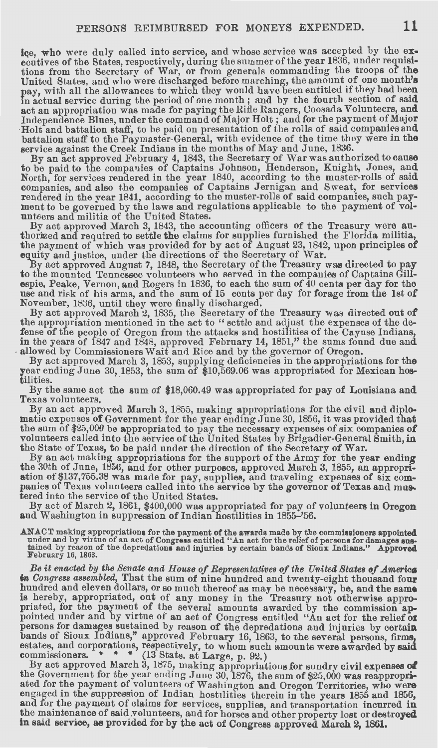ice, who were duly called into service, and whose service was accepted by the executives of the States, respectively, during the summer of the year 1836, under requisitions from the Secretary of War, or from generals commanding the troops of **the**  United States, and who were discharged before marching, the amount of one month's pay, with all the allowances to which they would have been entitled if they had been in actual service during the period of one month ; and by the fourth section of said<br>act an appropriation was made for paying the Rifle Rangers, Coosada Volunteers, and Holt and battalion staff, to be paid on presentation of the rolls of said companies and battalion staff to the Paymaster-General, with evidence of the time they were in the service against the Creek Indians in the months of May and June, 1836.

By an act approved February 4, 1843, the Secretary of War was authorized to cause to be paid to the companies of Captains Johnson, Henderson, Knight, Jones, and North, for services rendered in the year 1840, according to the muster-rolls of said companies, and also the companies of Captains Jernigan and Sweat, for services rendered in the year 1841, according to the muster-rolls of said companies, such payment to be governed by the laws and regulations applicable to the payment of vol-

unteers and militia of the United States.<br>By act approved March 3, 1843, the accounting officers of the Treasury were authorized and required to settle the claims for supplies furnished the Florida militia,

the payment of which was provided for by act of August 23, 1842, upon principles of<br>equity and justice, under the directions of the Secretary of War.<br>By act approved August 7, 1848, the Secretary of the Treasury was direct espie, Peake, Vernon, and Rogers in 1836, to each the sum of 40 cents per day for the use and risk of his arms, and the sum of 15 cents per day for forage from the 1st of November, 1836, until they were finally discharged.

the appropriation mentioned in the act to "settle and adjust the expenses of the defense of the people of Oregon from the attacks and hostilities of the Cayuse Indians, in the years of 1847 and 1848, approved February 14, 1851," the sums found due and allowed by Commissioners Wait and Rice and by the governor of Oregon.

By act approved March 3, 1853, supplying deficiencies in the appropriations for the year ending June 30, 1853, the sum of \$10,569.06 was appropriated for Mexican hos $t$ ilities.

By the same act the sum of \$18,060.49 was appropriated for pay of Louisiana and Texas volunteers.

By an act approved March 3, 1855, making appropriations for the civil and diplomatic expenses of Government for the year ending June 30, 1856, it was provided that the sum of \$25,000 be appropriated to pay the necessary expenses of six companies **of**  volunteers called into the service of the United States by Brigadier-General Smith, in the State of Texas, to be paid under the direction of the Secretary of War.

By an act making appropriations for the support of the Army for the year ending the 30th of June, 1856, and for other purposes, approved March 3, 1855, an appropriation of \$137,755.38 was made for pay, supplies, and traveling expenses of six companies of Texas volunteers called into the service by the

By act of March 2, 1861, \$400,000 was appropriated for pay of volunteers in Oregon and Washington in suppression of Indian hostilities in 1855-'56.

ANACT making appropriations for the payment of the awards made by the commissioners appointed under and by virtue of an act of Congress entitled "An act for the relief of persons for damages sustained by reason of the depredations and injuries by certain bands of Sioux Indians." Approved February 16, 1863.

Be it enacted by the Senate and House of Representatives of the United States of America in *Congress assembled*, That the sum of nine hundred and twenty-eight thousand four hundred and eleven dollars, or so much thereof as may be necessary, be, and the same<br>is hereby, appropriated, out of any money in the Treasury not otherwise appro-<br>priated, for the payment of the several amounts awarded by persons for damages sustained by reason of the depredations and injuries by certain bands of Sioux Indians," approved February 16, 1863, to the several persons, firms estates, and corporations, respectively, to whom such amounts were awarded by said commissioners. \* \* \* (13 Stats. at Large, p. 92.)

By act approved March 3, 1875, making appropriations for sundry civil expenses **of**  the Government for the year ending June 30, 1876, the sum of \$25,000 was reappropriated for the payment of volunteers of Washington and Oregon Territories who were engaged in the suppression. of Indian hostilities therein in the years 1855 and 1856, and for the payment of claims for services, supplies, and transportation incurred **in**  the maintenance of said ,volunteers, and for horses and other property lost or **destroyed**  in said service, as provided for by the act of Congress approved March 2, 1861.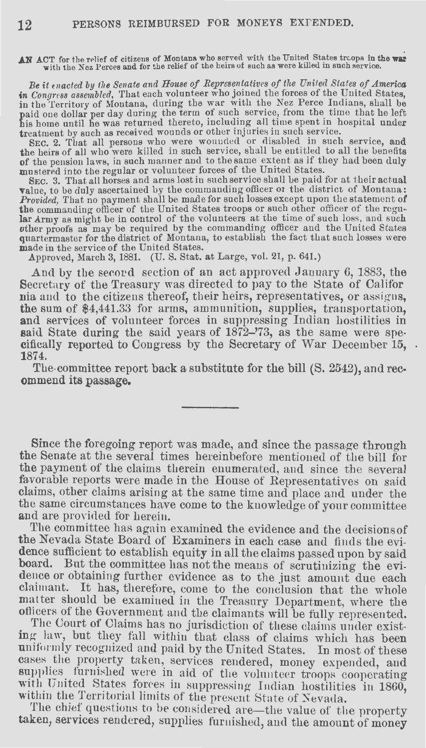AN ACT for the relief of citizens of Montana who served with the United States troops in the war with the Nez Perces and for the relief of the heirs of such as were killed in such service.

Be it enacted by the Senate and House of Representatives of the United States of America in *Congress assembled*, That each volunteer who joined the forces of the United States. in the Territory of Montana, during the war with the Nez Perce Indians, shall be paid one dollar per day during the term ot such service, from the time that he left his home until be was returned thereto, including all time spent in hospital under treatment by such as received wounds or other injuries in such service.

SEC. 2. That all persons who were wounded or disabled in such service, and the heirs of all who were killed in such service, shall be entitled to all the benefits of the pension laws, in such manner and to the same extent as if they had been duly mustered into the regular or volunteer forces of the United States.

SEC. 3. That all horses and arms lost in such service shall be paid for at their actual value, to be duly ascertained by the commanding officer or the district of Montana:<br>*Provided*, That no payment shall be made for such losses except upon the statement of<br>the commanding officer of the United States troops other proofs as may be required by the commanding officer and the United States quartermaster for the district of Montana, to establish the fact that such losses were made in the service of the United States.

Approved, March 3, 1881. (U. S. Stat. at Large, vol. 21, p. 641.)

And by the secord section of an act approved January 6, 1883, the Secretary of the Treasury was directed to pay to the State of Califor nia and to the citizens thereof, their heirs, representatives, or assigns, **the** sum of \$4,441.33 for arms, ammunition, supplies, transportation, **and** services of volunteer forces in suppressing Indian hostilities in **said** State during the said years of 1872-'73, as the same were specifically reported to Congress by the Secretary of War December 15, **1874.** 

The committee report back a substitute for the bill (S. 2542), and recommend its passage.

Since the foregoing report was made, and since the passage through the Senate at the several times hereinbefore mentioned of the bill for the payment of the claims therein enumerated, and since the several favorable reports were made in the House of Representatives on said claims, other claims arising at the same time and place and under the the ame circumstances have come to the knowledge of your committee and are provided for herein.

The committee has again examined the evidence and the decisionsof' the Nevada State Board of Examiners in each case and finds the evidence sufficient to establish equity in all the claims passed upon by said board. But the committee has not the means of scrutinizing the evidence or obtaining further evidence as to the just amount due each claimant. It has, therefore, come to the conclusion that the whole matter should be examined in the Treasury Department, where the officers of the Government and the claimants will be fully represented.

The Court of Claims has no jurisdiction of these claims under existing law, but they fall within that class of claims which has been uniformly recognized and paid by the United States. In most of these cases the property taken, services rendered, money expended, and supplies furnished were in aid of the volunteer troops cooperating with United States forces in suppressing Indian hostilities in 1860, within the Territorial limits of the present State of Nevada.

The chief questions to be considered are—the value of the property taken, services rendered, supplies furnished, and the amount of money